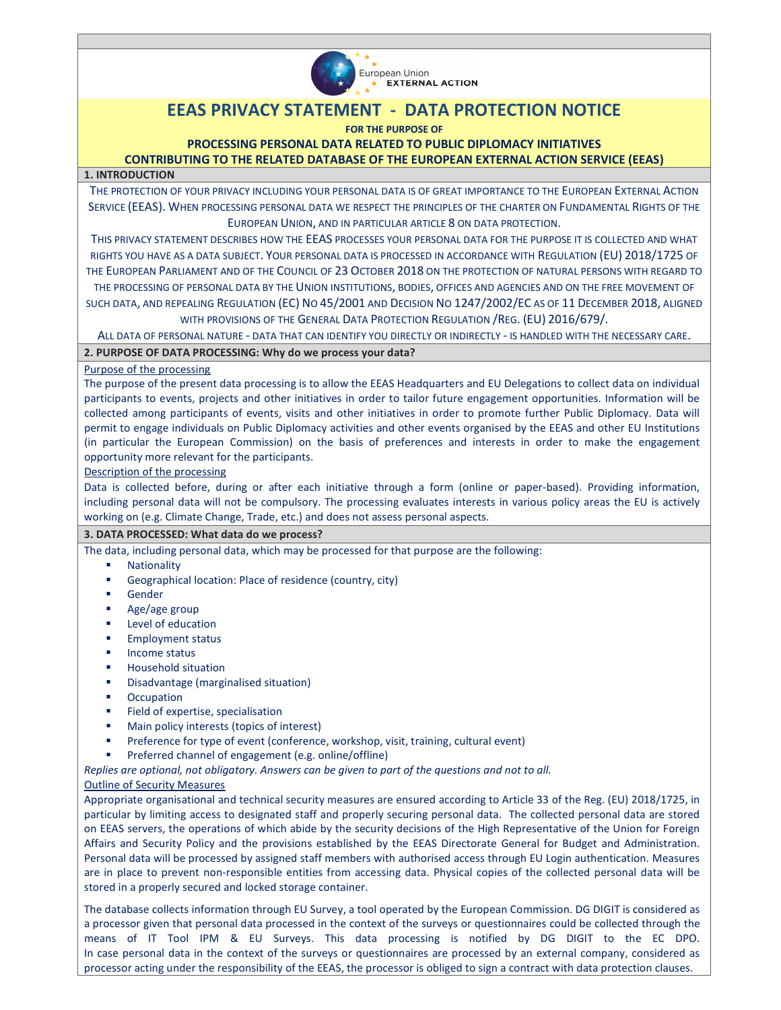

# **EEAS PRIVACY STATEMENT - DATA PROTECTION NOTICE**

## **FOR THE PURPOSE OF**

# **PROCESSING PERSONAL DATA RELATED TO PUBLIC DIPLOMACY INITIATIVES**

# **CONTRIBUTING TO THE RELATED DATABASE OF THE EUROPEAN EXTERNAL ACTION SERVICE (EEAS)**

# **1. INTRODUCTION**

THE PROTECTION OF YOUR PRIVACY INCLUDING YOUR PERSONAL DATA IS OF GREAT IMPORTANCE TO THE EUROPEAN EXTERNAL ACTION SERVICE (EEAS). WHEN PROCESSING PERSONAL DATA WE RESPECT THE PRINCIPLES OF THE CHARTER ON FUNDAMENTAL RIGHTS OF THE EUROPEAN UNION, AND IN PARTICULAR ARTICLE 8 ON DATA PROTECTION.

THIS PRIVACY STATEMENT DESCRIBES HOW THE EEAS PROCESSES YOUR PERSONAL DATA FOR THE PURPOSE IT IS COLLECTED AND WHAT RIGHTS YOU HAVE AS A DATA SUBJECT. YOUR PERSONAL DATA IS PROCESSED IN ACCORDANCE WITH REGULATION (EU) 2018/1725 OF THE EUROPEAN PARLIAMENT AND OF THE COUNCIL OF 23 OCTOBER 2018 ON THE PROTECTION OF NATURAL PERSONS WITH REGARD TO

THE PROCESSING OF PERSONAL DATA BY THE UNION INSTITUTIONS, BODIES, OFFICES AND AGENCIES AND ON THE FREE MOVEMENT OF

SUCH DATA, AND REPEALING REGULATION (EC) NO 45/2001 AND DECISION NO 1247/2002/EC AS OF 11 DECEMBER 2018, ALIGNED WITH PROVISIONS OF THE GENERAL DATA PROTECTION REGULATION /REG. (EU) 2016/679/.

ALL DATA OF PERSONAL NATURE - DATA THAT CAN IDENTIFY YOU DIRECTLY OR INDIRECTLY - IS HANDLED WITH THE NECESSARY CARE.

**2. PURPOSE OF DATA PROCESSING: Why do we process your data?** 

### Purpose of the processing

The purpose of the present data processing is to allow the EEAS Headquarters and EU Delegations to collect data on individual participants to events, projects and other initiatives in order to tailor future engagement opportunities. Information will be collected among participants of events, visits and other initiatives in order to promote further Public Diplomacy. Data will permit to engage individuals on Public Diplomacy activities and other events organised by the EEAS and other EU Institutions (in particular the European Commission) on the basis of preferences and interests in order to make the engagement opportunity more relevant for the participants.

#### Description of the processing

Data is collected before, during or after each initiative through a form (online or paper-based). Providing information, including personal data will not be compulsory. The processing evaluates interests in various policy areas the EU is actively working on (e.g. Climate Change, Trade, etc.) and does not assess personal aspects.

# **3. DATA PROCESSED: What data do we process?**

The data, including personal data, which may be processed for that purpose are the following:

- **Nationality**
- Geographical location: Place of residence (country, city)
- Gender
- Age/age group
- Level of education
- Employment status
- Income status
- Household situation
- Disadvantage (marginalised situation)
- **Occupation**
- Field of expertise, specialisation
- **Main policy interests (topics of interest)**
- Preference for type of event (conference, workshop, visit, training, cultural event)
- Preferred channel of engagement (e.g. online/offline)

*Replies are optional, not obligatory. Answers can be given to part of the questions and not to all.*

#### Outline of Security Measures

Appropriate organisational and technical security measures are ensured according to Article 33 of the Reg. (EU) 2018/1725, in particular by limiting access to designated staff and properly securing personal data. The collected personal data are stored on EEAS servers, the operations of which abide by the security decisions of the High Representative of the Union for Foreign Affairs and Security Policy and the provisions established by the EEAS Directorate General for Budget and Administration. Personal data will be processed by assigned staff members with authorised access through EU Login authentication. Measures are in place to prevent non-responsible entities from accessing data. Physical copies of the collected personal data will be stored in a properly secured and locked storage container.

The database collects information through EU Survey, a tool operated by the European Commission. DG DIGIT is considered as a processor given that personal data processed in the context of the surveys or questionnaires could be collected through the means of IT Tool IPM & EU Surveys. This data processing is notified by DG DIGIT to the EC DPO. In case personal data in the context of the surveys or questionnaires are processed by an external company, considered as processor acting under the responsibility of the EEAS, the processor is obliged to sign a contract with data protection clauses.